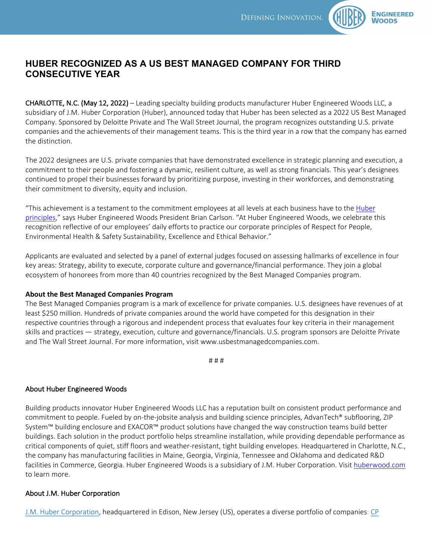

## **HUBER RECOGNIZED AS A US BEST MANAGED COMPANY FOR THIRD CONSECUTIVE YEAR**

CHARLOTTE, N.C. (May 12, 2022) – Leading specialty building products manufacturer Huber Engineered Woods LLC, a subsidiary of J.M. Huber Corporation (Huber), announced today that Huber has been selected as a 2022 US Best Managed Company. Sponsored by Deloitte Private and The Wall Street Journal, the program recognizes outstanding U.S. private companies and the achievements of their management teams. This is the third year in a row that the company has earned the distinction.

The 2022 designees are U.S. private companies that have demonstrated excellence in strategic planning and execution, a commitment to their people and fostering a dynamic, resilient culture, as well as strong financials. This year's designees continued to propel their businesses forward by prioritizing purpose, investing in their workforces, and demonstrating their commitment to diversity, equity and inclusion.

"This achievement is a testament to the commitment employees at all levels at each business have to the Huber principles," says Huber Engineered Woods President Brian Carlson. "At Huber Engineered Woods, we celebrate this recognition reflective of our employees' daily efforts to practice our corporate principles of Respect for People, Environmental Health & Safety Sustainability, Excellence and Ethical Behavior."

Applicants are evaluated and selected by a panel of external judges focused on assessing hallmarks of excellence in four key areas: Strategy, ability to execute, corporate culture and governance/financial performance. They join a global ecosystem of honorees from more than 40 countries recognized by the Best Managed Companies program.

## **About the Best Managed Companies Program**

The Best Managed Companies program is a mark of excellence for private companies. U.S. designees have revenues of at least \$250 million. Hundreds of private companies around the world have competed for this designation in their respective countries through a rigorous and independent process that evaluates four key criteria in their management skills and practices — strategy, execution, culture and governance/financials. U.S. program sponsors are Deloitte Private and The Wall Street Journal. For more information, visit www.usbestmanagedcompanies.com.

# # #

## About Huber Engineered Woods

Building products innovator Huber Engineered Woods LLC has a reputation built on consistent product performance and commitment to people. Fueled by on-the-jobsite analysis and building science principles, AdvanTech® subflooring, ZIP System™ building enclosure and EXACOR™ product solutions have changed the way construction teams build better buildings. Each solution in the product portfolio helps streamline installation, while providing dependable performance as critical components of quiet, stiff floors and weather-resistant, tight building envelopes. Headquartered in Charlotte, N.C., the company has manufacturing facilities in Maine, Georgia, Virginia, Tennessee and Oklahoma and dedicated R&D facilities in Commerce, Georgia. Huber Engineered Woods is a subsidiary of J.M. Huber Corporation. Visit huberwood.com to learn more.

## About J.M. Huber Corporation

J.M. Huber Corporation, headquartered in Edison, New Jersey (US), operates a diverse portfolio of companies: CP